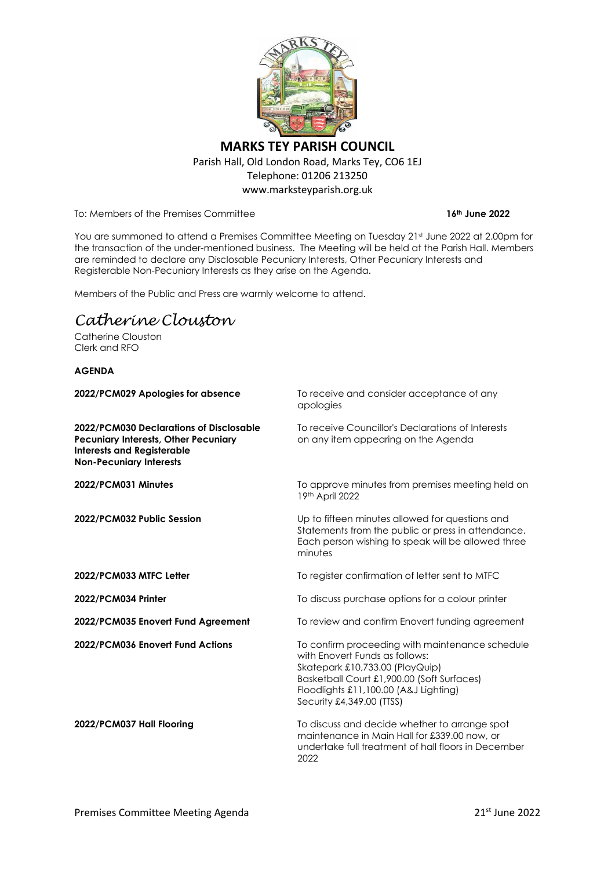

## **MARKS TEY PARISH COUNCIL** Parish Hall, Old London Road, Marks Tey, CO6 1EJ Telephone: 01206 213250 www.marksteyparish.org.uk

To: Members of the Premises Committee

**th June 2022**

You are summoned to attend a Premises Committee Meeting on Tuesday 21st June 2022 at 2.00pm for the transaction of the under-mentioned business. The Meeting will be held at the Parish Hall. Members are reminded to declare any Disclosable Pecuniary Interests, Other Pecuniary Interests and Registerable Non-Pecuniary Interests as they arise on the Agenda.

Members of the Public and Press are warmly welcome to attend.

## *Catherine Clouston*

Catherine Clouston Clerk and RFO

## **AGENDA**

| 2022/PCM029 Apologies for absence                                                                                                                             | To receive and consider acceptance of any<br>apologies                                                                                                                                                                                   |
|---------------------------------------------------------------------------------------------------------------------------------------------------------------|------------------------------------------------------------------------------------------------------------------------------------------------------------------------------------------------------------------------------------------|
| 2022/PCM030 Declarations of Disclosable<br><b>Pecuniary Interests, Other Pecuniary</b><br><b>Interests and Registerable</b><br><b>Non-Pecuniary Interests</b> | To receive Councillor's Declarations of Interests<br>on any item appearing on the Agenda                                                                                                                                                 |
| 2022/PCM031 Minutes                                                                                                                                           | To approve minutes from premises meeting held on<br>19th April 2022                                                                                                                                                                      |
| 2022/PCM032 Public Session                                                                                                                                    | Up to fifteen minutes allowed for questions and<br>Statements from the public or press in attendance.<br>Each person wishing to speak will be allowed three<br>minutes                                                                   |
| 2022/PCM033 MTFC Letter                                                                                                                                       | To register confirmation of letter sent to MTFC                                                                                                                                                                                          |
| 2022/PCM034 Printer                                                                                                                                           | To discuss purchase options for a colour printer                                                                                                                                                                                         |
| 2022/PCM035 Enovert Fund Agreement                                                                                                                            | To review and confirm Enovert funding agreement                                                                                                                                                                                          |
| 2022/PCM036 Enovert Fund Actions                                                                                                                              | To confirm proceeding with maintenance schedule<br>with Enovert Funds as follows:<br>Skatepark £10,733.00 (PlayQuip)<br>Basketball Court £1,900.00 (Soft Surfaces)<br>Floodlights £11,100.00 (A&J Lighting)<br>Security £4,349.00 (TTSS) |
| 2022/PCM037 Hall Flooring                                                                                                                                     | To discuss and decide whether to arrange spot<br>maintenance in Main Hall for £339.00 now, or<br>undertake full treatment of hall floors in December<br>2022                                                                             |